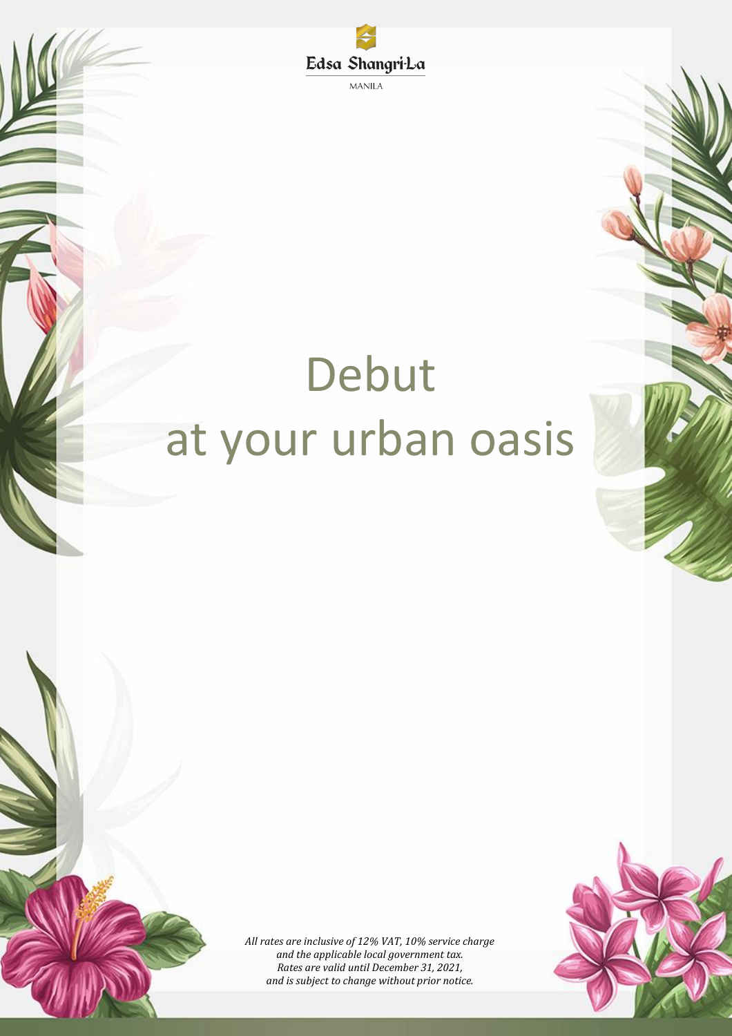

**MANILA** 

# Debut at your urban oasis



*All rates are inclusive of 12% VAT, 10% service charge and the applicable local government tax. Rates are valid until December 31, 2021, and is subject to change without prior notice.*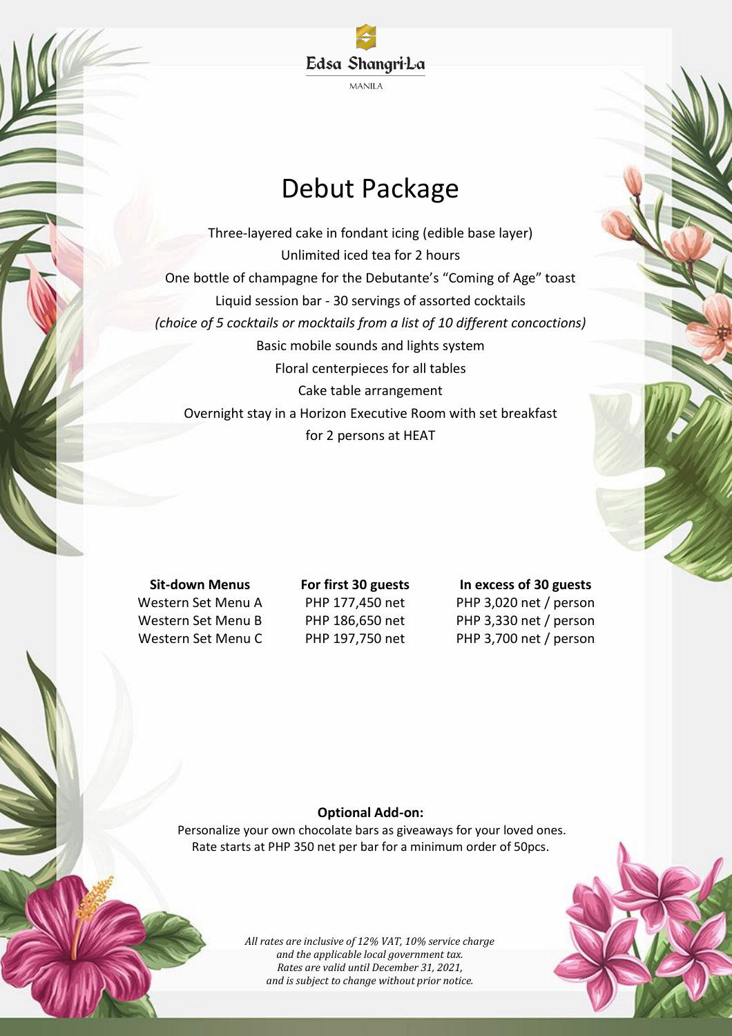

# Debut Package

Three-layered cake in fondant icing (edible base layer) Unlimited iced tea for 2 hours One bottle of champagne for the Debutante's "Coming of Age" toast Liquid session bar - 30 servings of assorted cocktails *(choice of 5 cocktails or mocktails from a list of 10 different concoctions)* Basic mobile sounds and lights system Floral centerpieces for all tables Cake table arrangement Overnight stay in a Horizon Executive Room with set breakfast for 2 persons at HEAT

**Sit-down Menus For first 30 guests In excess of 30 guests** Western Set Menu A PHP 177,450 net PHP 3,020 net / person Western Set Menu B PHP 186,650 net PHP 3,330 net / person Western Set Menu C PHP 197,750 net PHP 3,700 net / person

# **Optional Add-on:**

Personalize your own chocolate bars as giveaways for your loved ones. Rate starts at PHP 350 net per bar for a minimum order of 50pcs.



*All rates are inclusive of 12% VAT, 10% service charge and the applicable local government tax. Rates are valid until December 31, 2021, and is subject to change without prior notice.*